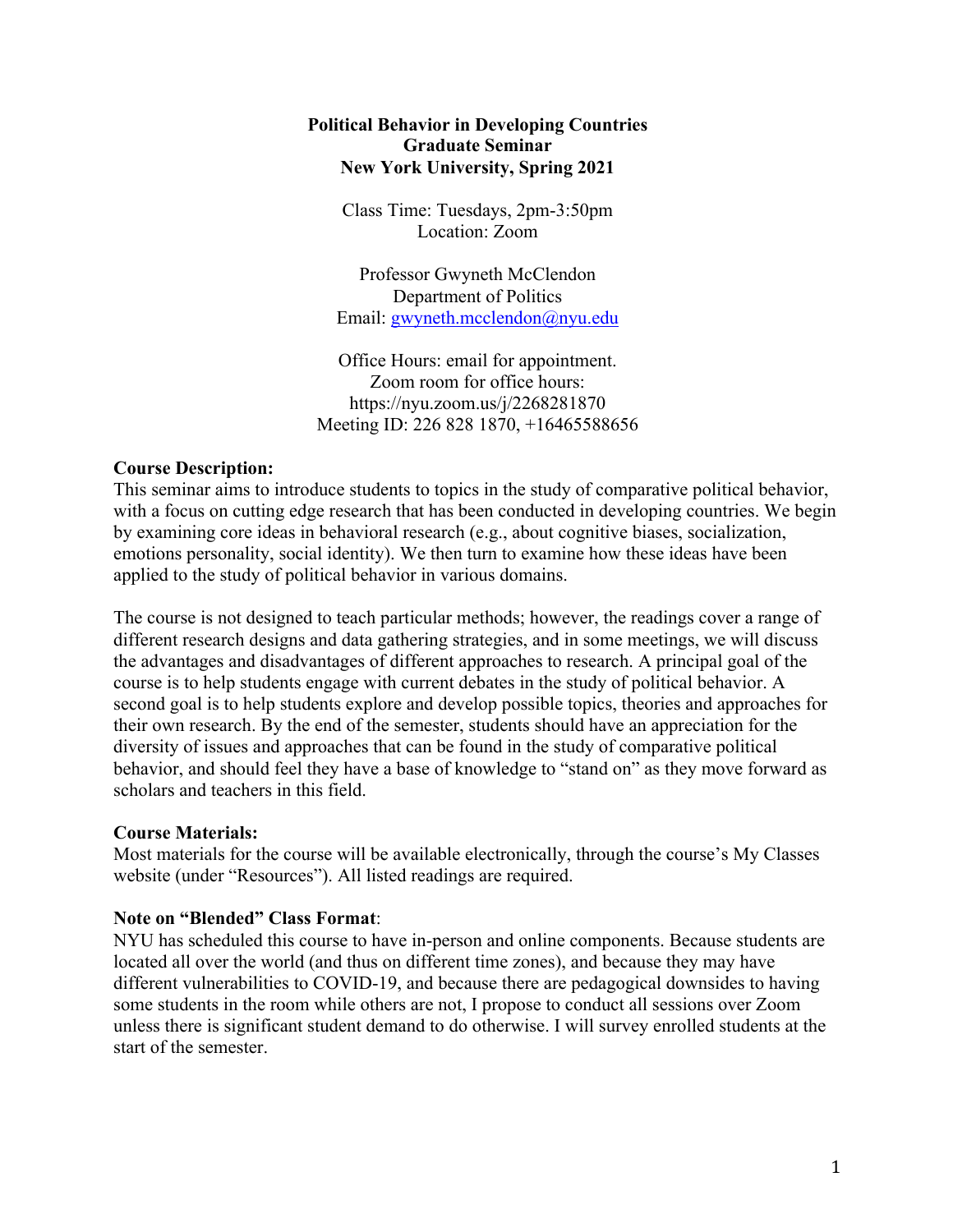### **Political Behavior in Developing Countries Graduate Seminar New York University, Spring 2021**

Class Time: Tuesdays, 2pm-3:50pm Location: Zoom

Professor Gwyneth McClendon Department of Politics Email: gwyneth.mcclendon@nyu.edu

Office Hours: email for appointment. Zoom room for office hours: https://nyu.zoom.us/j/2268281870 Meeting ID: 226 828 1870, +16465588656

### **Course Description:**

This seminar aims to introduce students to topics in the study of comparative political behavior, with a focus on cutting edge research that has been conducted in developing countries. We begin by examining core ideas in behavioral research (e.g., about cognitive biases, socialization, emotions personality, social identity). We then turn to examine how these ideas have been applied to the study of political behavior in various domains.

The course is not designed to teach particular methods; however, the readings cover a range of different research designs and data gathering strategies, and in some meetings, we will discuss the advantages and disadvantages of different approaches to research. A principal goal of the course is to help students engage with current debates in the study of political behavior. A second goal is to help students explore and develop possible topics, theories and approaches for their own research. By the end of the semester, students should have an appreciation for the diversity of issues and approaches that can be found in the study of comparative political behavior, and should feel they have a base of knowledge to "stand on" as they move forward as scholars and teachers in this field.

# **Course Materials:**

Most materials for the course will be available electronically, through the course's My Classes website (under "Resources"). All listed readings are required.

#### **Note on "Blended" Class Format**:

NYU has scheduled this course to have in-person and online components. Because students are located all over the world (and thus on different time zones), and because they may have different vulnerabilities to COVID-19, and because there are pedagogical downsides to having some students in the room while others are not, I propose to conduct all sessions over Zoom unless there is significant student demand to do otherwise. I will survey enrolled students at the start of the semester.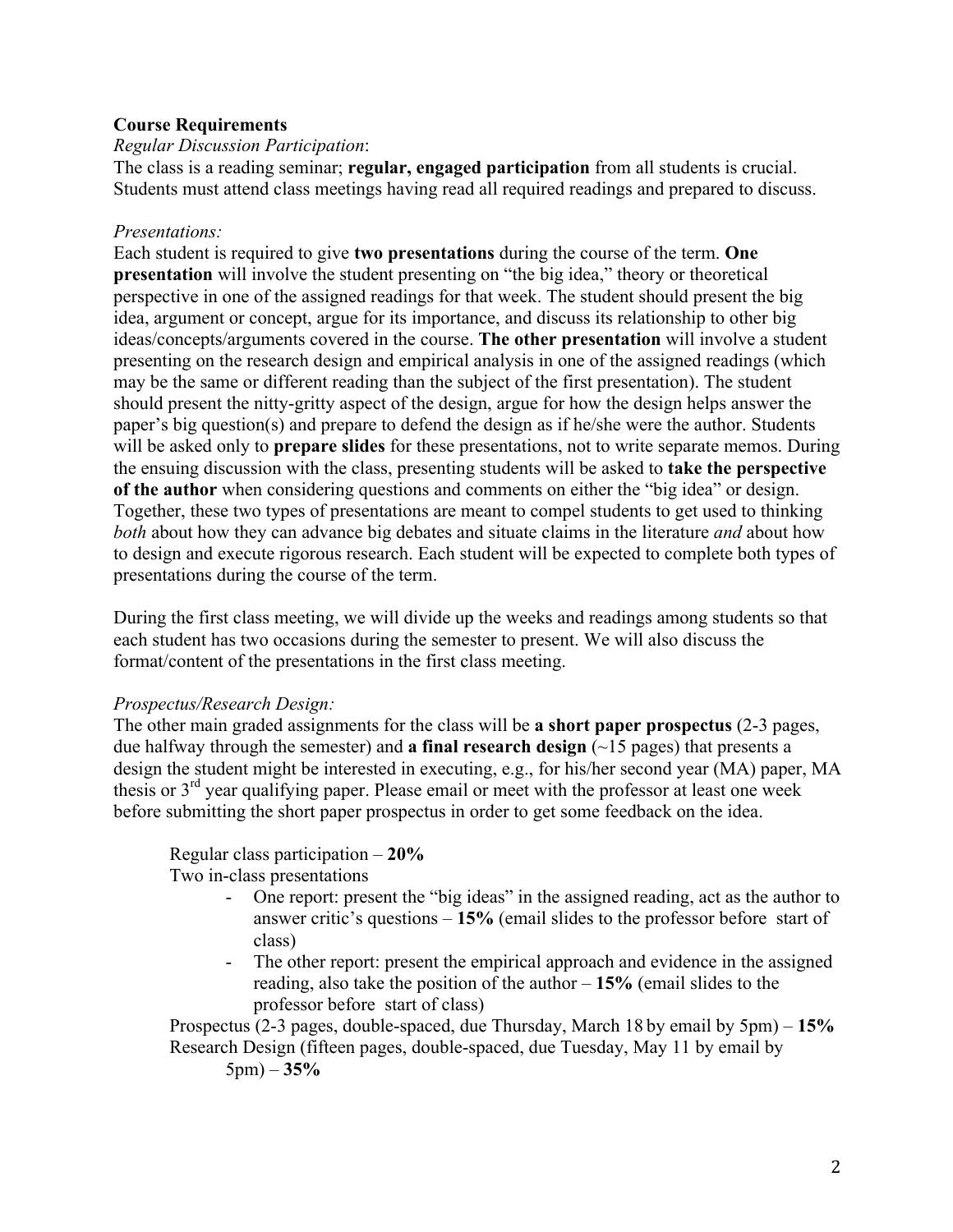### **Course Requirements**

#### *Regular Discussion Participation*:

The class is a reading seminar; **regular, engaged participation** from all students is crucial. Students must attend class meetings having read all required readings and prepared to discuss.

### *Presentations:*

Each student is required to give **two presentations** during the course of the term. **One presentation** will involve the student presenting on "the big idea," theory or theoretical perspective in one of the assigned readings for that week. The student should present the big idea, argument or concept, argue for its importance, and discuss its relationship to other big ideas/concepts/arguments covered in the course. **The other presentation** will involve a student presenting on the research design and empirical analysis in one of the assigned readings (which may be the same or different reading than the subject of the first presentation). The student should present the nitty-gritty aspect of the design, argue for how the design helps answer the paper's big question(s) and prepare to defend the design as if he/she were the author. Students will be asked only to **prepare slides** for these presentations, not to write separate memos. During the ensuing discussion with the class, presenting students will be asked to **take the perspective of the author** when considering questions and comments on either the "big idea" or design. Together, these two types of presentations are meant to compel students to get used to thinking *both* about how they can advance big debates and situate claims in the literature *and* about how to design and execute rigorous research. Each student will be expected to complete both types of presentations during the course of the term.

During the first class meeting, we will divide up the weeks and readings among students so that each student has two occasions during the semester to present. We will also discuss the format/content of the presentations in the first class meeting.

#### *Prospectus/Research Design:*

The other main graded assignments for the class will be **a short paper prospectus** (2-3 pages, due halfway through the semester) and **a final research design** (~15 pages) that presents a design the student might be interested in executing, e.g., for his/her second year (MA) paper, MA thesis or  $3<sup>rd</sup>$  year qualifying paper. Please email or meet with the professor at least one week before submitting the short paper prospectus in order to get some feedback on the idea.

# Regular class participation – **20%**

Two in-class presentations

- One report: present the "big ideas" in the assigned reading, act as the author to answer critic's questions – **15%** (email slides to the professor before start of class)
- The other report: present the empirical approach and evidence in the assigned reading, also take the position of the author – **15%** (email slides to the professor before start of class)

Prospectus (2-3 pages, double-spaced, due Thursday, March 18 by email by 5pm) – **15%** Research Design (fifteen pages, double-spaced, due Tuesday, May 11 by email by 5pm) – **35%**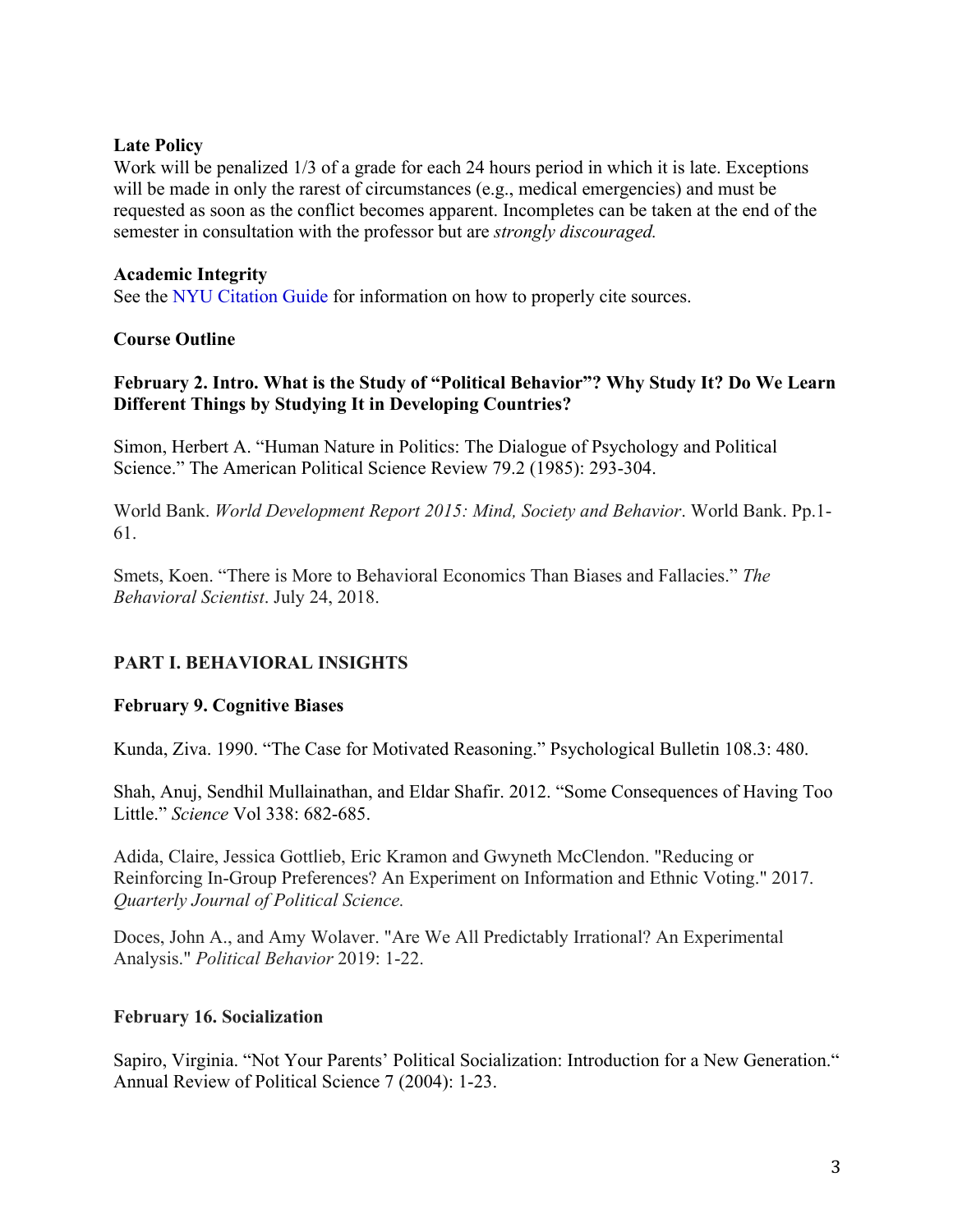### **Late Policy**

Work will be penalized 1/3 of a grade for each 24 hours period in which it is late. Exceptions will be made in only the rarest of circumstances (e.g., medical emergencies) and must be requested as soon as the conflict becomes apparent. Incompletes can be taken at the end of the semester in consultation with the professor but are *strongly discouraged.*

### **Academic Integrity**

See the NYU Citation Guide for information on how to properly cite sources.

### **Course Outline**

### **February 2. Intro. What is the Study of "Political Behavior"? Why Study It? Do We Learn Different Things by Studying It in Developing Countries?**

Simon, Herbert A. "Human Nature in Politics: The Dialogue of Psychology and Political Science." The American Political Science Review 79.2 (1985): 293-304.

World Bank. *World Development Report 2015: Mind, Society and Behavior*. World Bank. Pp.1- 61.

Smets, Koen. "There is More to Behavioral Economics Than Biases and Fallacies." *The Behavioral Scientist*. July 24, 2018.

# **PART I. BEHAVIORAL INSIGHTS**

# **February 9. Cognitive Biases**

Kunda, Ziva. 1990. "The Case for Motivated Reasoning." Psychological Bulletin 108.3: 480.

Shah, Anuj, Sendhil Mullainathan, and Eldar Shafir. 2012. "Some Consequences of Having Too Little." *Science* Vol 338: 682-685.

Adida, Claire, Jessica Gottlieb, Eric Kramon and Gwyneth McClendon. "Reducing or Reinforcing In-Group Preferences? An Experiment on Information and Ethnic Voting." 2017. *Quarterly Journal of Political Science.*

Doces, John A., and Amy Wolaver. "Are We All Predictably Irrational? An Experimental Analysis." *Political Behavior* 2019: 1-22.

#### **February 16. Socialization**

Sapiro, Virginia. "Not Your Parents' Political Socialization: Introduction for a New Generation." Annual Review of Political Science 7 (2004): 1-23.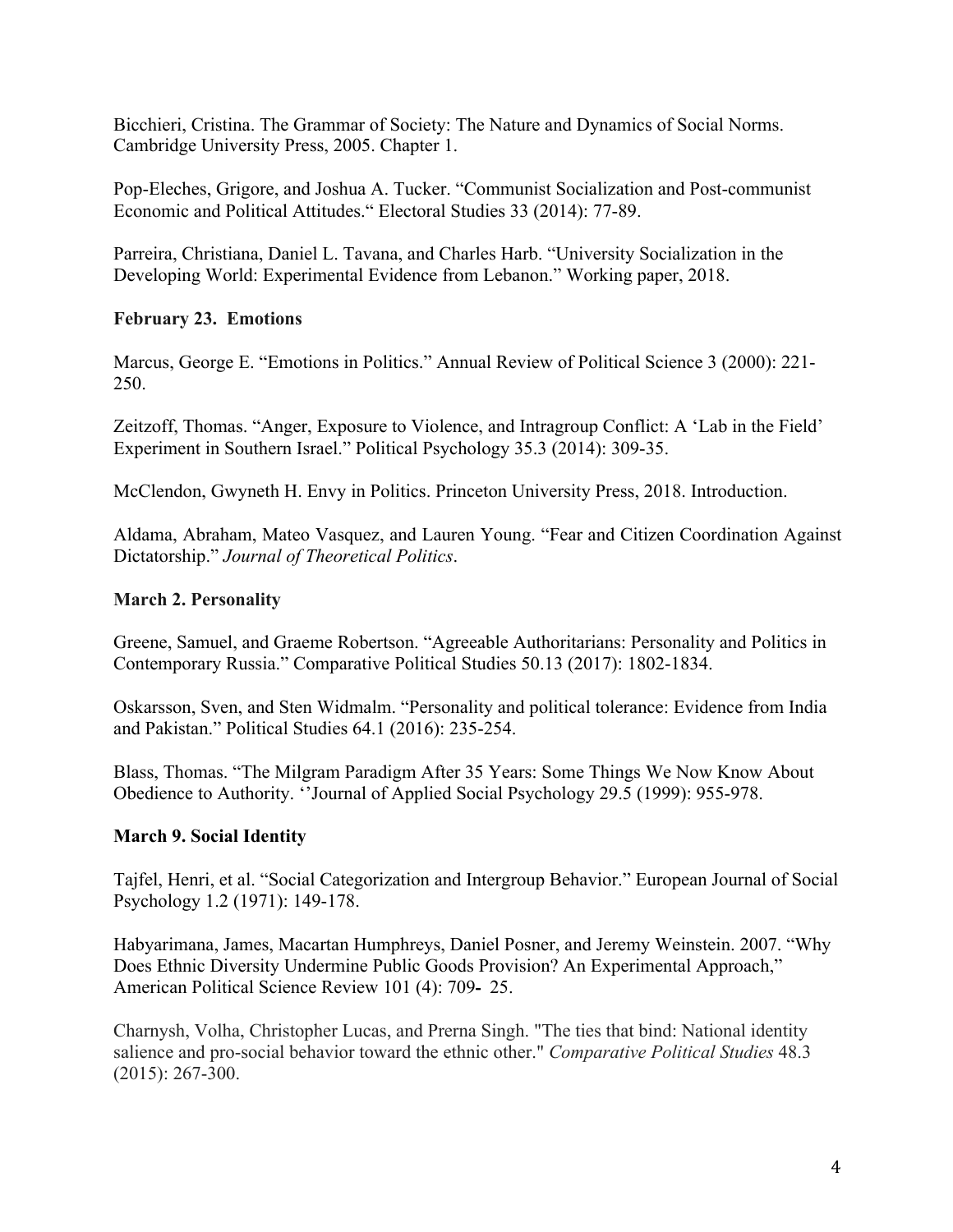Bicchieri, Cristina. The Grammar of Society: The Nature and Dynamics of Social Norms. Cambridge University Press, 2005. Chapter 1.

Pop-Eleches, Grigore, and Joshua A. Tucker. "Communist Socialization and Post-communist Economic and Political Attitudes." Electoral Studies 33 (2014): 77-89.

Parreira, Christiana, Daniel L. Tavana, and Charles Harb. "University Socialization in the Developing World: Experimental Evidence from Lebanon." Working paper, 2018.

# **February 23. Emotions**

Marcus, George E. "Emotions in Politics." Annual Review of Political Science 3 (2000): 221- 250.

Zeitzoff, Thomas. "Anger, Exposure to Violence, and Intragroup Conflict: A 'Lab in the Field' Experiment in Southern Israel." Political Psychology 35.3 (2014): 309-35.

McClendon, Gwyneth H. Envy in Politics. Princeton University Press, 2018. Introduction.

Aldama, Abraham, Mateo Vasquez, and Lauren Young. "Fear and Citizen Coordination Against Dictatorship." *Journal of Theoretical Politics*.

# **March 2. Personality**

Greene, Samuel, and Graeme Robertson. "Agreeable Authoritarians: Personality and Politics in Contemporary Russia." Comparative Political Studies 50.13 (2017): 1802-1834.

Oskarsson, Sven, and Sten Widmalm. "Personality and political tolerance: Evidence from India and Pakistan." Political Studies 64.1 (2016): 235-254.

Blass, Thomas. "The Milgram Paradigm After 35 Years: Some Things We Now Know About Obedience to Authority. ''Journal of Applied Social Psychology 29.5 (1999): 955-978.

# **March 9. Social Identity**

Tajfel, Henri, et al. "Social Categorization and Intergroup Behavior." European Journal of Social Psychology 1.2 (1971): 149-178.

Habyarimana, James, Macartan Humphreys, Daniel Posner, and Jeremy Weinstein. 2007. "Why Does Ethnic Diversity Undermine Public Goods Provision? An Experimental Approach," American Political Science Review 101 (4): 709- 25.

Charnysh, Volha, Christopher Lucas, and Prerna Singh. "The ties that bind: National identity salience and pro-social behavior toward the ethnic other." *Comparative Political Studies* 48.3 (2015): 267-300.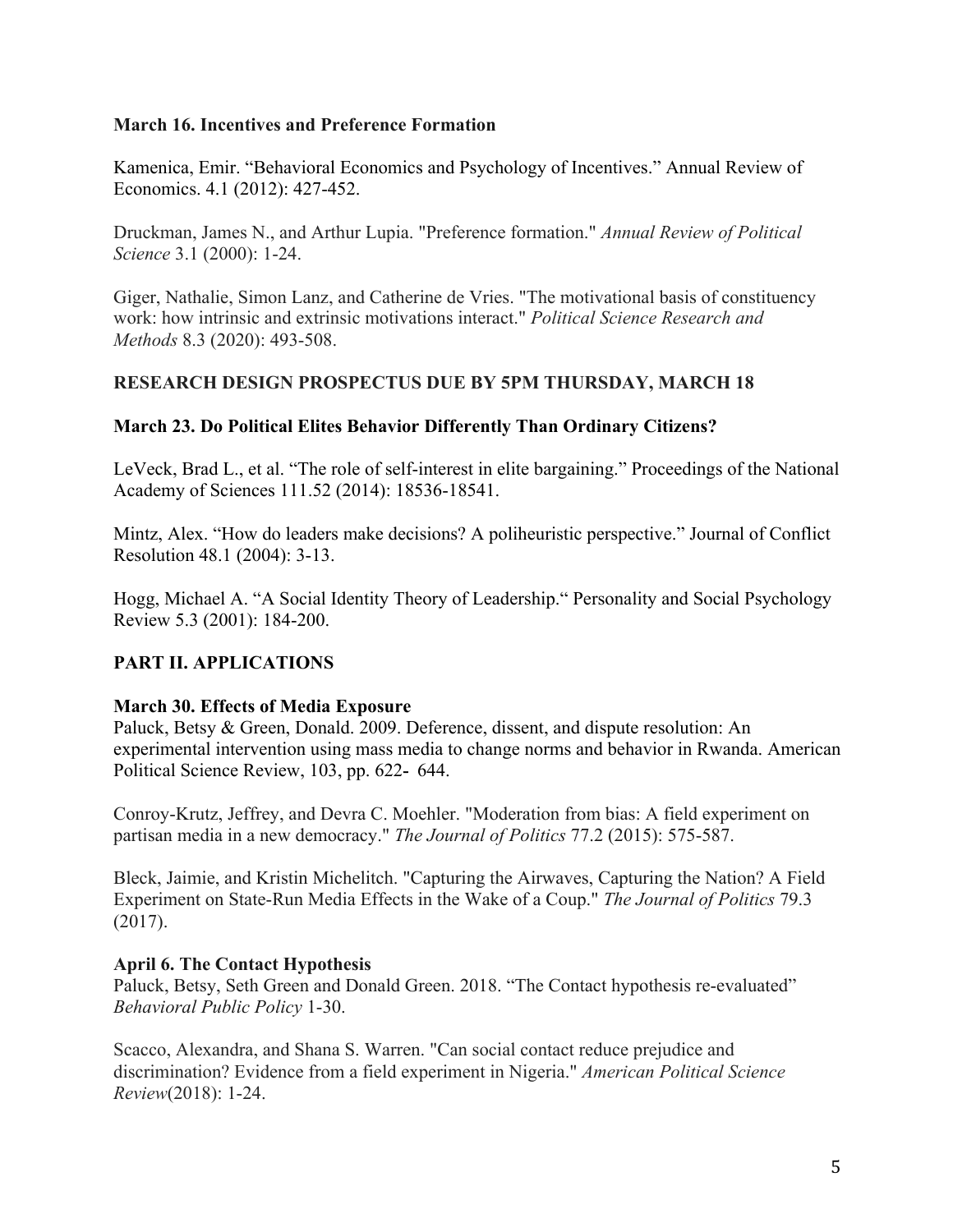### **March 16. Incentives and Preference Formation**

Kamenica, Emir. "Behavioral Economics and Psychology of Incentives." Annual Review of Economics. 4.1 (2012): 427-452.

Druckman, James N., and Arthur Lupia. "Preference formation." *Annual Review of Political Science* 3.1 (2000): 1-24.

Giger, Nathalie, Simon Lanz, and Catherine de Vries. "The motivational basis of constituency work: how intrinsic and extrinsic motivations interact." *Political Science Research and Methods* 8.3 (2020): 493-508.

### **RESEARCH DESIGN PROSPECTUS DUE BY 5PM THURSDAY, MARCH 18**

#### **March 23. Do Political Elites Behavior Differently Than Ordinary Citizens?**

LeVeck, Brad L., et al. "The role of self-interest in elite bargaining." Proceedings of the National Academy of Sciences 111.52 (2014): 18536-18541.

Mintz, Alex. "How do leaders make decisions? A poliheuristic perspective." Journal of Conflict Resolution 48.1 (2004): 3-13.

Hogg, Michael A. "A Social Identity Theory of Leadership." Personality and Social Psychology Review 5.3 (2001): 184-200.

# **PART II. APPLICATIONS**

#### **March 30. Effects of Media Exposure**

Paluck, Betsy & Green, Donald. 2009. Deference, dissent, and dispute resolution: An experimental intervention using mass media to change norms and behavior in Rwanda. American Political Science Review, 103, pp. 622- 644.

Conroy-Krutz, Jeffrey, and Devra C. Moehler. "Moderation from bias: A field experiment on partisan media in a new democracy." *The Journal of Politics* 77.2 (2015): 575-587.

Bleck, Jaimie, and Kristin Michelitch. "Capturing the Airwaves, Capturing the Nation? A Field Experiment on State-Run Media Effects in the Wake of a Coup." *The Journal of Politics* 79.3 (2017).

#### **April 6. The Contact Hypothesis**

Paluck, Betsy, Seth Green and Donald Green. 2018. "The Contact hypothesis re-evaluated" *Behavioral Public Policy* 1-30.

Scacco, Alexandra, and Shana S. Warren. "Can social contact reduce prejudice and discrimination? Evidence from a field experiment in Nigeria." *American Political Science Review*(2018): 1-24.